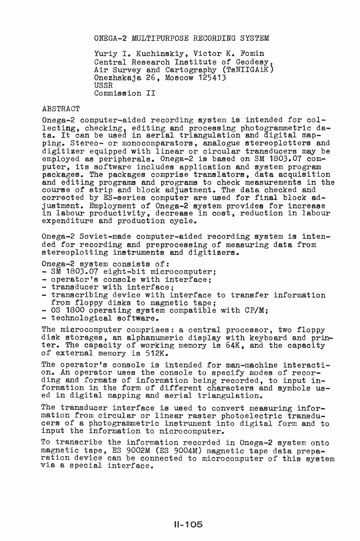ONEGA-2 MULTIPURPOSE RECORDING SYSTEM

Yuriy I. Kuchinskiy, Victor K. Fomin Central Research Institute of Geodesy,<br>Air Survey and Cartography (TsNIIGAiK) Onezhskaja 26, Moscow 125413 USSR Commission II

## ABSTRACT

Onega-2 computer-aided recording system is intended for collecting, checking, editing and processing photogrammetric data. It can be used in aerial triangulation and digital map-<br>ping. Stereo- or monocomparators, analogue stereoplotters and digitizer equipped with linear or circular transducers may be employed as peripherals. Onega-2 is based on SM 1803.07 computer, its software includes application and system program packages. The packages comprise translators, data acquisition and editing programs and programs to check measurements in the course of strip and block adjustment. The data checked and corrected by ES-series computer are used for final block adjustment. Employment of Onega-2 system provides for increase in labour productivity, decrease in cost, reduction in labour expenditure and production cycle.

Onega-2 Soviet-made computer-aided recording system is intended for recording and preprocessing of measuring data from stereoplotting instruments and digitizers.

- 
- 
- 
- Onega-2 system consists of:<br>- SM 1803.07 eight-bit microcomputer;<br>- operator's console with interface;<br>- transcribing device with interface to transfer information from floppy disks to magnetic tape;<br>- OS 1800 operating system compatible with CP/M;<br>- technological software.
- 
- 

The microcomputer comprises: a central processor, two floppy disk storages, an alphanumeric display with keyboard and printer. The capacity of working memory is 64K, and the capacity of external memory is 512K.

The operator's console is intended for man-machine interaction. An operator uses the console to specify modes of recording and formats of information being recorded, to input information in the form of different characters and symbols used in digital mapping and aerial triangulation.

The transducer interface is used to convert measuring information from circular or linear raster photoelectric transducers of a photogrammetric instrument into digital form and to input the information to microcomputer.

To transcribe information recorded in Onega-2 system onto magnetic tape, ES 9002M (ES 9004M) magnetic tape data preparation device can be connected to microcomputer of this system a special interface.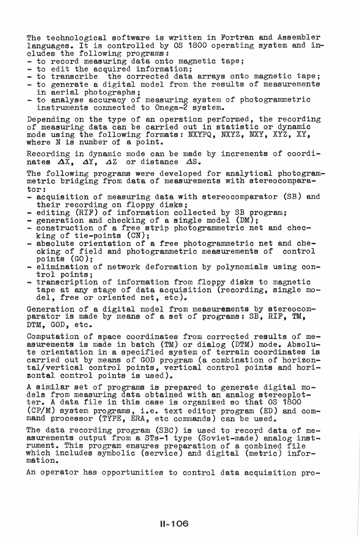The technological software is written in Fortran and Assembler languages. It is controlled by  $0S$  1800 operating system and in-<br>cludes the following programs:

- 
- 
- 
- to record measuring data onto magnetic tape;<br>- to edit the acquired information;<br>- to transcribe the corrected data arrays onto magnetic tape;<br>- to generate a digital model from the results of measurements<br>in aerial phot
- to analyse accuracy of measuring system of photogrammetric instruments connected to Onega-2 system.

Depending on the type of an operation performed, the recording of measuring data can be carried out in statistic or dynamic mode using the following formats: NXYPQ, NXYZ, NXY, XYZ, XY, where N is number *ot* a point.

Recording in dynamic mode can be made by increments of coordinates  $\Delta \tilde{X}$ ,  $\Delta Y$ ,  $\Delta Z$  or distance  $\Delta S$ .

The following programs were developed for analytical photogram-<br>metric bridging from data of measurements with stereocomparator:

- acquisition of measuring data with stereocomparator (SB) and their recording on floppy disks:
- editing (RIF) of information collected by SB program;<br>- generation and checking of a single model (DM);
- 
- construction of a free strip photogrammetric net and chec-<br>king of tie-points  $(CN)$ ;
- absolute orientation of a free photogrammetric net and checking of field and photogrammetric measurements of control pointe (GO);
- elimination of network deformation by polynomials using con-<br>trol points:
- transcription of information from floppy disks to magnetic tape at any stage of data acquisition (recording, single model, free or oriented net, etc).

Generation of a digital model from measurements by stereocomparator is made by means of a set of programs: SB, RIF, TM, DTM, GOD, etc.

Computation of space coordinates from corrected results of measurements is made in batch (TM) or dialog (DTM) mode. Absolute orientation in a specified system of terrain coordinates is carried out by means of GOD program (a combination of horizontal/vertical control points, vertical control points and horizontal control points is used).

A similar set of programs is prepared to generate digital models from measuring data obtained with an analog stereoplotter. A data file in this case is organized so that OS 1800 (CP/M) system programs, i.e. text editor program (ED) and command processor (TYPE, ERA, etc commands) can be used.

The data recording program (SBC) is used to record data of measurements output from a STs-1 type (Soviet-made) analog instrument. This program ensures preparation of a combined file which includes symbolic (service) and digital (metric) information.

An operator has opportunities to control data acquisition pro-